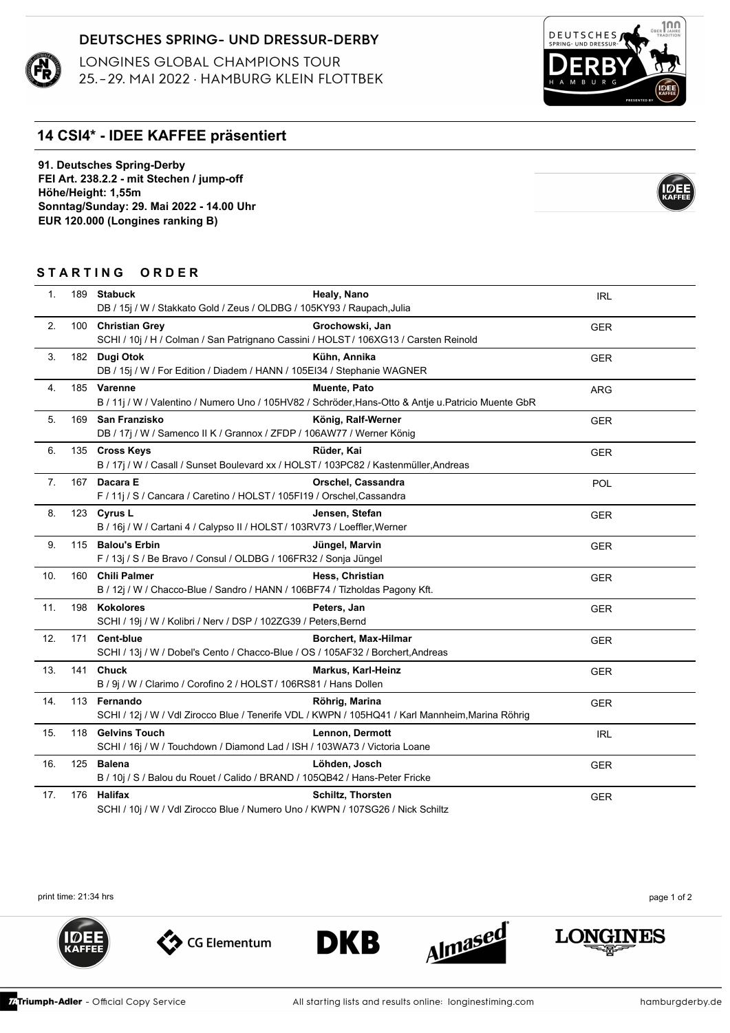## DEUTSCHES SPRING- UND DRESSUR-DERBY

LONGINES GLOBAL CHAMPIONS TOUR 25. - 29. MAI 2022 · HAMBURG KLEIN FLOTTBEK

## **14 CSI4\* - IDEE KAFFEE präsentiert**

**91. Deutsches Spring-Derby FEI Art. 238.2.2 - mit Stechen / jump-off Höhe/Height: 1,55m Sonntag/Sunday: 29. Mai 2022 - 14.00 Uhr EUR 120.000 (Longines ranking B)**

## **S T A R T I N G O R D E R**

| 1.  |     | 189 Stabuck<br>Healy, Nano<br>DB / 15j / W / Stakkato Gold / Zeus / OLDBG / 105KY93 / Raupach, Julia                 |                           | <b>IRL</b> |
|-----|-----|----------------------------------------------------------------------------------------------------------------------|---------------------------|------------|
| 2.  |     | 100 Christian Grey<br>SCHI / 10j / H / Colman / San Patrignano Cassini / HOLST / 106XG13 / Carsten Reinold           | Grochowski, Jan           | <b>GER</b> |
| 3.  |     | 182 Dugi Otok<br>DB / 15j / W / For Edition / Diadem / HANN / 105EI34 / Stephanie WAGNER                             | Kühn, Annika              | <b>GER</b> |
| 4.  |     | 185 Varenne<br>B / 11j / W / Valentino / Numero Uno / 105HV82 / Schröder, Hans-Otto & Antje u Patricio Muente GbR    | <b>Muente, Pato</b>       | <b>ARG</b> |
| 5.  | 169 | San Franzisko<br>DB / 17j / W / Samenco II K / Grannox / ZFDP / 106AW77 / Werner König                               | König, Ralf-Werner        | <b>GER</b> |
| 6.  |     | Rüder, Kai<br>135 Cross Keys<br>B / 17j / W / Casall / Sunset Boulevard xx / HOLST / 103PC82 / Kastenmüller, Andreas |                           | <b>GER</b> |
| 7.  |     | 167 Dacara E<br>F / 11j / S / Cancara / Caretino / HOLST / 105FI19 / Orschel, Cassandra                              | Orschel, Cassandra        | POL        |
| 8.  |     | 123 Cyrus L<br>B / 16j / W / Cartani 4 / Calypso II / HOLST / 103RV73 / Loeffler, Werner                             | Jensen, Stefan            | <b>GER</b> |
| 9.  |     | 115 Balou's Erbin<br>F / 13j / S / Be Bravo / Consul / OLDBG / 106FR32 / Sonja Jüngel                                | Jüngel, Marvin            | <b>GER</b> |
| 10. | 160 | <b>Chili Palmer</b><br>B / 12j / W / Chacco-Blue / Sandro / HANN / 106BF74 / Tízholdas Pagony Kft.                   | Hess, Christian           | <b>GER</b> |
| 11. |     | 198 Kokolores<br>Peters, Jan<br>SCHI / 19j / W / Kolibri / Nerv / DSP / 102ZG39 / Peters, Bernd                      |                           | <b>GER</b> |
| 12. |     | 171 Cent-blue<br>SCHI / 13j / W / Dobel's Cento / Chacco-Blue / OS / 105AF32 / Borchert, Andreas                     | Borchert, Max-Hilmar      | <b>GER</b> |
| 13. |     | 141 Chuck<br>B / 9j / W / Clarimo / Corofino 2 / HOLST / 106RS81 / Hans Dollen                                       | <b>Markus, Karl-Heinz</b> | <b>GER</b> |
| 14. |     | 113 Fernando<br>SCHI / 12j / W / Vdl Zirocco Blue / Tenerife VDL / KWPN / 105HQ41 / Karl Mannheim, Marina Röhrig     | Röhrig, Marina            | <b>GER</b> |
| 15. |     | 118 Gelvins Touch<br>SCHI / 16j / W / Touchdown / Diamond Lad / ISH / 103WA73 / Victoria Loane                       | <b>Lennon, Dermott</b>    | <b>IRL</b> |
| 16. |     | 125 Balena<br>B / 10j / S / Balou du Rouet / Calido / BRAND / 105QB42 / Hans-Peter Fricke                            | Löhden, Josch             | <b>GER</b> |
| 17. |     | 176 Halifax<br>SCHI / 10j / W / Vdl Zirocco Blue / Numero Uno / KWPN / 107SG26 / Nick Schiltz                        | Schiltz, Thorsten         | <b>GER</b> |